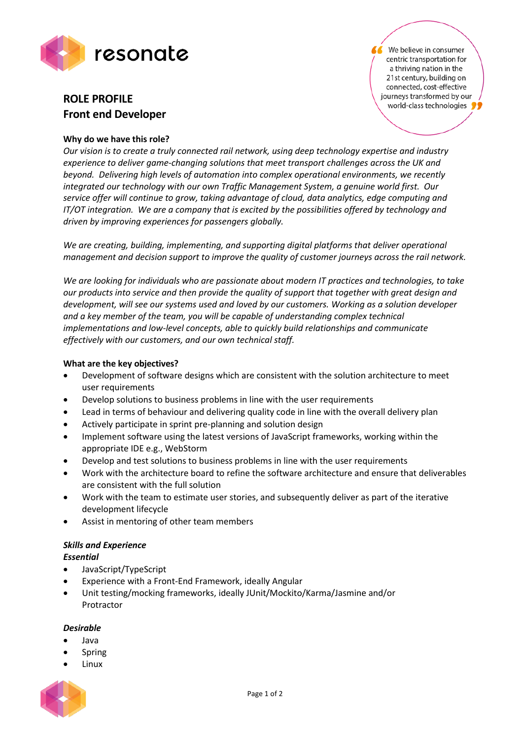

# **ROLE PROFILE Front end Developer**

## **Why do we have this role?**

*Our vision is to create a truly connected rail network, using deep technology expertise and industry experience to deliver game-changing solutions that meet transport challenges across the UK and beyond. Delivering high levels of automation into complex operational environments, we recently integrated our technology with our own Traffic Management System, a genuine world first. Our service offer will continue to grow, taking advantage of cloud, data analytics, edge computing and IT/OT integration. We are a company that is excited by the possibilities offered by technology and driven by improving experiences for passengers globally.*

*We are creating, building, implementing, and supporting digital platforms that deliver operational management and decision support to improve the quality of customer journeys across the rail network.* 

*We are looking for individuals who are passionate about modern IT practices and technologies, to take our products into service and then provide the quality of support that together with great design and development, will see our systems used and loved by our customers. Working as a solution developer and a key member of the team, you will be capable of understanding complex technical implementations and low-level concepts, able to quickly build relationships and communicate effectively with our customers, and our own technical staff.*

## **What are the key objectives?**

- Development of software designs which are consistent with the solution architecture to meet user requirements
- Develop solutions to business problems in line with the user requirements
- Lead in terms of behaviour and delivering quality code in line with the overall delivery plan
- Actively participate in sprint pre-planning and solution design
- Implement software using the latest versions of JavaScript frameworks, working within the appropriate IDE e.g., WebStorm
- Develop and test solutions to business problems in line with the user requirements
- Work with the architecture board to refine the software architecture and ensure that deliverables are consistent with the full solution
- Work with the team to estimate user stories, and subsequently deliver as part of the iterative development lifecycle
- Assist in mentoring of other team members

## *Skills and Experience*

## *Essential*

- JavaScript/TypeScript
- Experience with a Front-End Framework, ideally Angular
- Unit testing/mocking frameworks, ideally JUnit/Mockito/Karma/Jasmine and/or Protractor

## *Desirable*

- Java
- Spring
- Linux